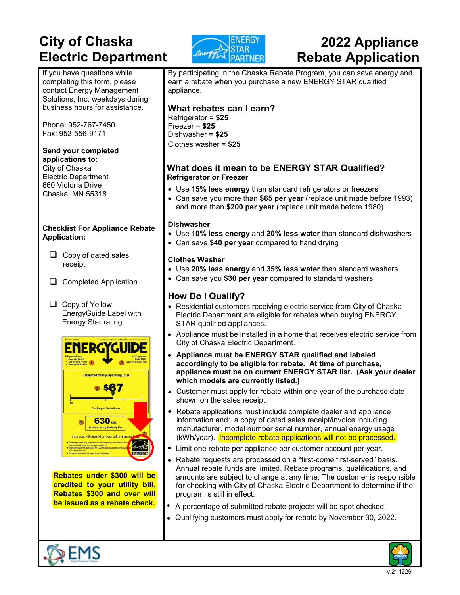## **City of Chaska Electric Department**



# **2022 Appliance Rebate Application**

If you have questions while completing this form, please contact Energy Management Solutions, Inc. weekdays during business hours for assistance.

Phone: 952-767-7450 Fax: 952-556-9171

#### **Send your completed**

**applications to:** City of Chaska Electric Department 660 Victoria Drive Chaska, MN 55318

#### **Checklist For Appliance Rebate Application:**

- $\Box$  Copy of dated sales receipt
- Completed Application

□ Copy of Yellow EnergyGuide Label with Energy Star rating



**Rebates under \$300 will be credited to your utility bill. Rebates \$300 and over will be issued as a rebate check.** 



By participating in the Chaska Rebate Program, you can save energy and earn a rebate when you purchase a new ENERGY STAR qualified appliance.

### **What rebates can I earn?**

Refrigerator = **\$25**  Freezer = **\$25**  Dishwasher = **\$25**  Clothes washer = **\$25** 

#### **What does it mean to be ENERGY STAR Qualified? Refrigerator or Freezer**

- Use **15% less energy** than standard refrigerators or freezers
- Can save you more than **\$65 per year** (replace unit made before 1993) and more than **\$200 per year** (replace unit made before 1980)

#### **Dishwasher**

- Use **10% less energy** and **20% less water** than standard dishwashers
- Can save **\$40 per year** compared to hand drying

#### **Clothes Washer**

- Use **20% less energy** and **35% less water** than standard washers
- Can save you **\$30 per year** compared to standard washers

### **How Do I Qualify?**

- Residential customers receiving electric service from City of Chaska Electric Department are eligible for rebates when buying ENERGY STAR qualified appliances.
- Appliance must be installed in a home that receives electric service from City of Chaska Electric Department.
- **Appliance must be ENERGY STAR qualified and labeled accordingly to be eligible for rebate. At time of purchase, appliance must be on current ENERGY STAR list. (Ask your dealer which models are currently listed.)**
- Customer must apply for rebate within one year of the purchase date shown on the sales receipt.
- Rebate applications must include complete dealer and appliance information and: a copy of dated sales receipt/invoice including manufacturer, model number serial number, annual energy usage (kWh/year). Incomplete rebate applications will not be processed.
- Limit one rebate per appliance per customer account per year.
- Rebate requests are processed on a "first-come first-served" basis. Annual rebate funds are limited. Rebate programs, qualifications, and amounts are subject to change at any time. The customer is responsible for checking with City of Chaska Electric Department to determine if the program is still in effect.
- A percentage of submitted rebate projects will be spot checked.
- Qualifying customers must apply for rebate by November 30, 2022.